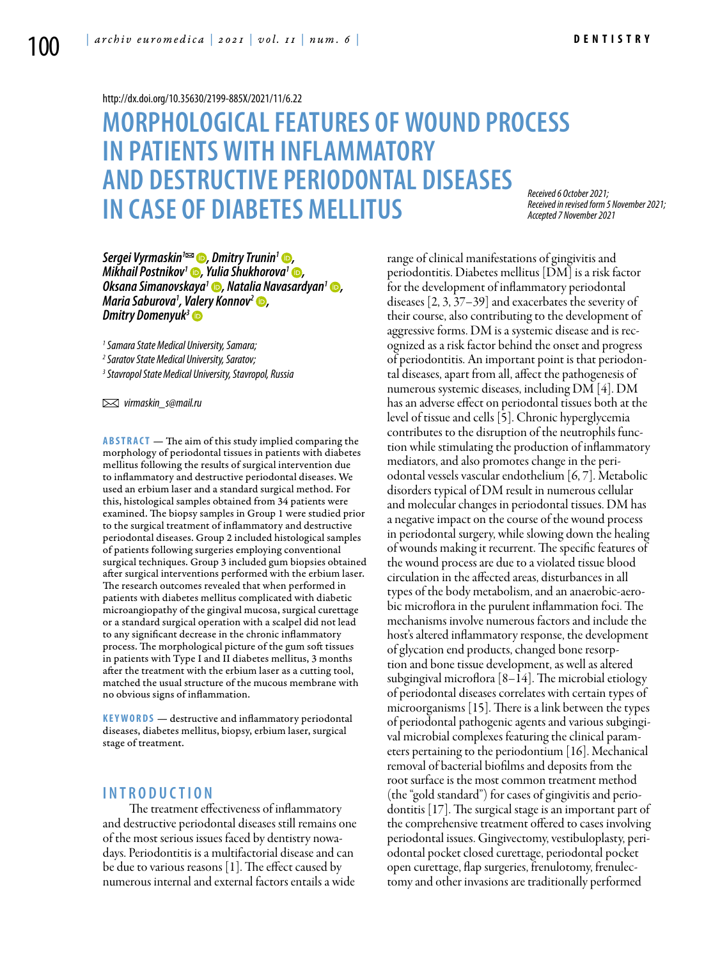#### <http://dx.doi.org/10.35630/2199-885X/2021/11/6.22>

# **MORPHOLOGICAL FEATURES OF WOUND PROCESS IN PATIENTS WITH INFLAMMATORY AND DESTRUCTIVE PERIODONTAL DISEASES IN CASE OF DIABETES MELLITUS**

*Received 6 October 2021; Received in revised form 5 November 2021; Accepted 7 November 2021*

*Sergei Vyrmaskin<sup>1</sup><sup>®</sup>, [Dmitry Trunin](https://orcid.org/0000-0002-7221-7976)<sup>1</sup> <sup>®</sup>, Mikhail Postnikov<sup>1</sup> •, Yulia Shukhorova<sup>1</sup> •, [Oksana Simanovskaya](https://orcid.org/0000-0002-7741-272�)1 , [Natalia Navasardyan](https://orcid.org/0000-0002-3436-334�)1 , Maria Saburova1 , [Valery Konnov](https://orcid.org/0000-0002-5457-3926)2 , [Dmitry Domenyuk](https://orcid.org/0000-0003-4022-5020)3*

*1 Samara State Medical University, Samara;* 

*2 Saratov State Medical University, Saratov;*

*3 Stavropol State Medical University, Stavropol, Russia*

 *virmaskin\_s@mail.ru* 

**ABSTRACT** — The aim of this study implied comparing the morphology of periodontal tissues in patients with diabetes mellitus following the results of surgical intervention due to inflammatory and destructive periodontal diseases. We used an erbium laser and a standard surgical method. For this, histological samples obtained from 34 patients were examined. The biopsy samples in Group 1 were studied prior to the surgical treatment of inflammatory and destructive periodontal diseases. Group 2 included histological samples of patients following surgeries employing conventional surgical techniques. Group 3 included gum biopsies obtained after surgical interventions performed with the erbium laser. The research outcomes revealed that when performed in patients with diabetes mellitus complicated with diabetic microangiopathy of the gingival mucosa, surgical curettage or a standard surgical operation with a scalpel did not lead to any significant decrease in the chronic inflammatory process. The morphological picture of the gum soft tissues in patients with Type I and II diabetes mellitus, 3 months after the treatment with the erbium laser as a cutting tool, matched the usual structure of the mucous membrane with no obvious signs of inflammation.

**KEYWORDS** — destructive and inflammatory periodontal diseases, diabetes mellitus, biopsy, erbium laser, surgical stage of treatment.

## **I n t r o d uct i o n**

 The treatment effectiveness of inflammatory and destructive periodontal diseases still remains one of the most serious issues faced by dentistry nowadays. Periodontitis is a multifactorial disease and can be due to various reasons [1]. The effect caused by numerous internal and external factors entails a wide

range of clinical manifestations of gingivitis and periodontitis. Diabetes mellitus [DM] is a risk factor for the development of inflammatory periodontal diseases [2, 3, 37–39] and exacerbates the severity of their course, also contributing to the development of aggressive forms. DM is a systemic disease and is recognized as a risk factor behind the onset and progress of periodontitis. An important point is that periodontal diseases, apart from all, affect the pathogenesis of numerous systemic diseases, including DM [4]. DM has an adverse effect on periodontal tissues both at the level of tissue and cells [5]. Chronic hyperglycemia contributes to the disruption of the neutrophils function while stimulating the production of inflammatory mediators, and also promotes change in the periodontal vessels vascular endothelium [6, 7]. Metabolic disorders typical of DM result in numerous cellular and molecular changes in periodontal tissues. DM has a negative impact on the course of the wound process in periodontal surgery, while slowing down the healing of wounds making it recurrent. The specific features of the wound process are due to a violated tissue blood circulation in the affected areas, disturbances in all types of the body metabolism, and an anaerobic-aerobic microflora in the purulent inflammation foci. The mechanisms involve numerous factors and include the host's altered inflammatory response, the development of glycation end products, changed bone resorption and bone tissue development, as well as altered subgingival microflora [8–14]. The microbial etiology of periodontal diseases correlates with certain types of microorganisms [15]. There is a link between the types of periodontal pathogenic agents and various subgingival microbial complexes featuring the clinical parameters pertaining to the periodontium [16]. Mechanical removal of bacterial biofilms and deposits from the root surface is the most common treatment method (the "gold standard") for cases of gingivitis and periodontitis [17]. The surgical stage is an important part of the comprehensive treatment offered to cases involving periodontal issues. Gingivectomy, vestibuloplasty, periodontal pocket closed curettage, periodontal pocket open curettage, flap surgeries, frenulotomy, frenulectomy and other invasions are traditionally performed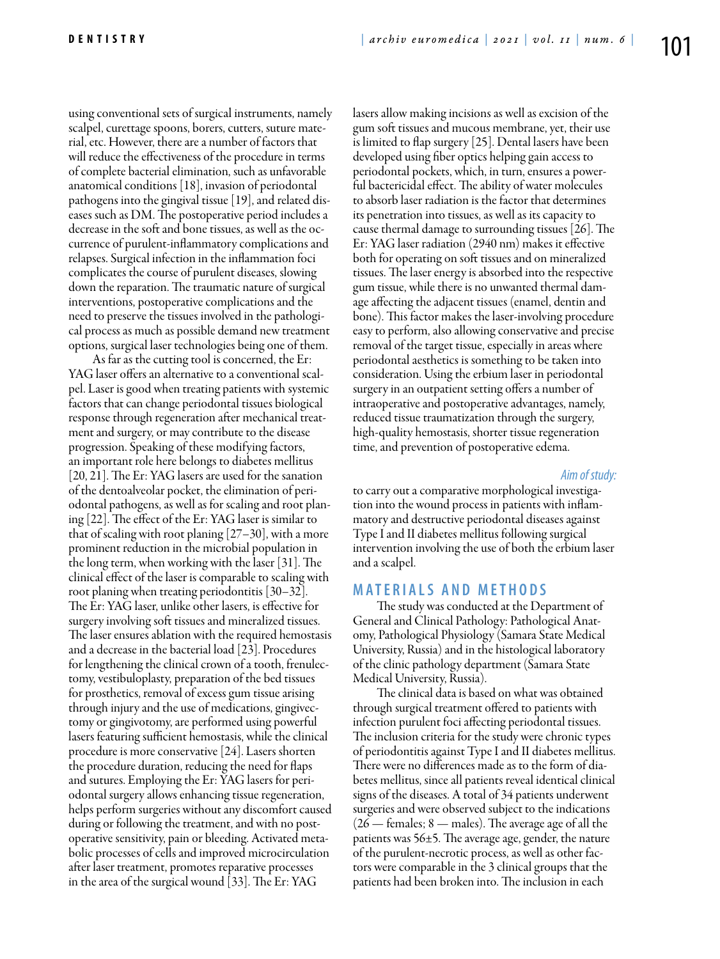using conventional sets of surgical instruments, namely scalpel, curettage spoons, borers, cutters, suture material, etc. However, there are a number of factors that will reduce the effectiveness of the procedure in terms of complete bacterial elimination, such as unfavorable anatomical conditions [18], invasion of periodontal pathogens into the gingival tissue [19], and related diseases such as DM. The postoperative period includes a decrease in the soft and bone tissues, as well as the occurrence of purulent-inflammatory complications and relapses. Surgical infection in the inflammation foci complicates the course of purulent diseases, slowing down the reparation. The traumatic nature of surgical interventions, postoperative complications and the need to preserve the tissues involved in the pathological process as much as possible demand new treatment options, surgical laser technologies being one of them.

As far as the cutting tool is concerned, the Er: YAG laser offers an alternative to a conventional scalpel. Laser is good when treating patients with systemic factors that can change periodontal tissues biological response through regeneration after mechanical treatment and surgery, or may contribute to the disease progression. Speaking of these modifying factors, an important role here belongs to diabetes mellitus [20, 21]. The Er: YAG lasers are used for the sanation of the dentoalveolar pocket, the elimination of periodontal pathogens, as well as for scaling and root planing [22]. The effect of the Er: YAG laser is similar to that of scaling with root planing [27–30], with a more prominent reduction in the microbial population in the long term, when working with the laser [31]. The clinical effect of the laser is comparable to scaling with root planing when treating periodontitis [30–32]. The Er: YAG laser, unlike other lasers, is effective for surgery involving soft tissues and mineralized tissues. The laser ensures ablation with the required hemostasis and a decrease in the bacterial load [23]. Procedures for lengthening the clinical crown of a tooth, frenulectomy, vestibuloplasty, preparation of the bed tissues for prosthetics, removal of excess gum tissue arising through injury and the use of medications, gingivectomy or gingivotomy, are performed using powerful lasers featuring sufficient hemostasis, while the clinical procedure is more conservative [24]. Lasers shorten the procedure duration, reducing the need for flaps and sutures. Employing the Er: YAG lasers for periodontal surgery allows enhancing tissue regeneration, helps perform surgeries without any discomfort caused during or following the treatment, and with no postoperative sensitivity, pain or bleeding. Activated metabolic processes of cells and improved microcirculation after laser treatment, promotes reparative processes in the area of the surgical wound [33]. The Er: YAG

lasers allow making incisions as well as excision of the gum soft tissues and mucous membrane, yet, their use is limited to flap surgery [25]. Dental lasers have been developed using fiber optics helping gain access to periodontal pockets, which, in turn, ensures a powerful bactericidal effect. The ability of water molecules to absorb laser radiation is the factor that determines its penetration into tissues, as well as its capacity to cause thermal damage to surrounding tissues [26]. The Er: YAG laser radiation (2940 nm) makes it effective both for operating on soft tissues and on mineralized tissues. The laser energy is absorbed into the respective gum tissue, while there is no unwanted thermal damage affecting the adjacent tissues (enamel, dentin and bone). This factor makes the laser-involving procedure easy to perform, also allowing conservative and precise removal of the target tissue, especially in areas where periodontal aesthetics is something to be taken into consideration. Using the erbium laser in periodontal surgery in an outpatient setting offers a number of intraoperative and postoperative advantages, namely, reduced tissue traumatization through the surgery, high-quality hemostasis, shorter tissue regeneration time, and prevention of postoperative edema.

#### *Aim of study:*

to carry out a comparative morphological investigation into the wound process in patients with inflammatory and destructive periodontal diseases against Type I and II diabetes mellitus following surgical intervention involving the use of both the erbium laser and a scalpel.

## **MATERIALS AND METHODS**

The study was conducted at the Department of General and Clinical Pathology: Pathological Anatomy, Pathological Physiology (Samara State Medical University, Russia) and in the histological laboratory of the clinic pathology department (Samara State Medical University, Russia).

The clinical data is based on what was obtained through surgical treatment offered to patients with infection purulent foci affecting periodontal tissues. The inclusion criteria for the study were chronic types of periodontitis against Type I and II diabetes mellitus. There were no differences made as to the form of diabetes mellitus, since all patients reveal identical clinical signs of the diseases. A total of 34 patients underwent surgeries and were observed subject to the indications  $(26 -$  females; 8 — males). The average age of all the patients was 56±5. The average age, gender, the nature of the purulent-necrotic process, as well as other factors were comparable in the 3 clinical groups that the patients had been broken into. The inclusion in each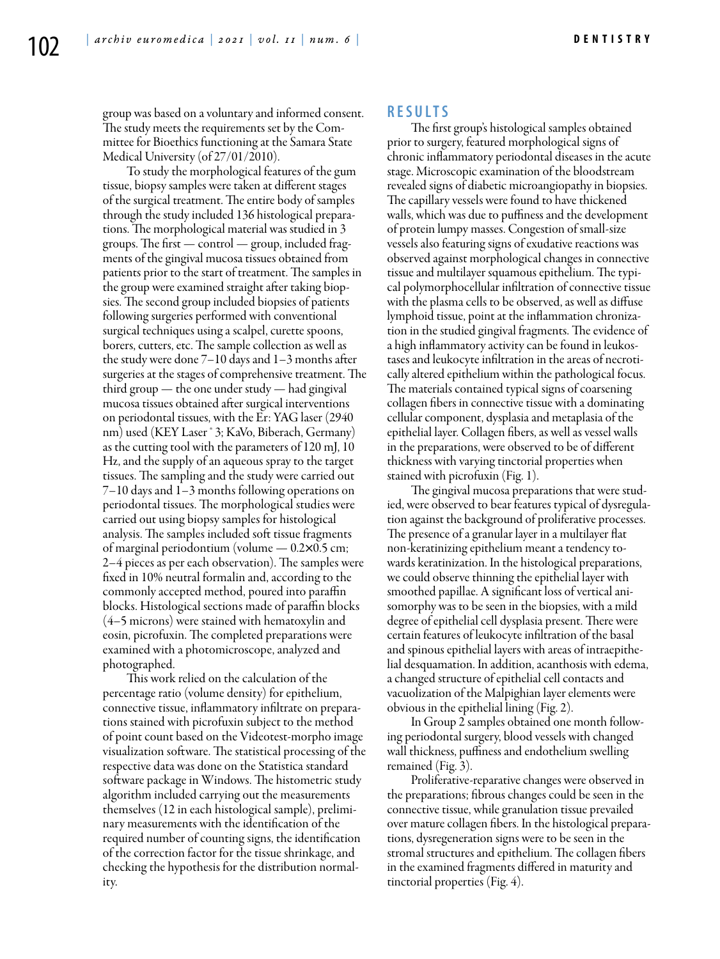group was based on a voluntary and informed consent. The study meets the requirements set by the Committee for Bioethics functioning at the Samara State Medical University (of 27/01/2010).

To study the morphological features of the gum tissue, biopsy samples were taken at different stages of the surgical treatment. The entire body of samples through the study included 136 histological preparations. The morphological material was studied in 3 groups. The first — control — group, included fragments of the gingival mucosa tissues obtained from patients prior to the start of treatment. The samples in the group were examined straight after taking biopsies. The second group included biopsies of patients following surgeries performed with conventional surgical techniques using a scalpel, curette spoons, borers, cutters, etc. The sample collection as well as the study were done 7–10 days and 1–3 months after surgeries at the stages of comprehensive treatment. The third group — the one under study — had gingival mucosa tissues obtained after surgical interventions on periodontal tissues, with the Er: YAG laser (2940 nm) used (KEY Laser ® 3; KaVo, Biberach, Germany) as the cutting tool with the parameters of 120 mJ, 10 Hz, and the supply of an aqueous spray to the target tissues. The sampling and the study were carried out 7–10 days and 1–3 months following operations on periodontal tissues. The morphological studies were carried out using biopsy samples for histological analysis. The samples included soft tissue fragments of marginal periodontium (volume — 0.2*×*0.5 cm; 2–4 pieces as per each observation). The samples were fixed in 10% neutral formalin and, according to the commonly accepted method, poured into paraffin blocks. Histological sections made of paraffin blocks (4–5 microns) were stained with hematoxylin and eosin, picrofuxin. The completed preparations were examined with a photomicroscope, analyzed and photographed.

This work relied on the calculation of the percentage ratio (volume density) for epithelium, connective tissue, inflammatory infiltrate on preparations stained with picrofuxin subject to the method of point count based on the Videotest-morpho image visualization software. The statistical processing of the respective data was done on the Statistica standard software package in Windows. The histometric study algorithm included carrying out the measurements themselves (12 in each histological sample), preliminary measurements with the identification of the required number of counting signs, the identification of the correction factor for the tissue shrinkage, and checking the hypothesis for the distribution normality.

#### **R e s u l t s**

The first group's histological samples obtained prior to surgery, featured morphological signs of chronic inflammatory periodontal diseases in the acute stage. Microscopic examination of the bloodstream revealed signs of diabetic microangiopathy in biopsies. The capillary vessels were found to have thickened walls, which was due to puffiness and the development of protein lumpy masses. Congestion of small-size vessels also featuring signs of exudative reactions was observed against morphological changes in connective tissue and multilayer squamous epithelium. The typical polymorphocellular infiltration of connective tissue with the plasma cells to be observed, as well as diffuse lymphoid tissue, point at the inflammation chronization in the studied gingival fragments. The evidence of a high inflammatory activity can be found in leukostases and leukocyte infiltration in the areas of necrotically altered epithelium within the pathological focus. The materials contained typical signs of coarsening collagen fibers in connective tissue with a dominating cellular component, dysplasia and metaplasia of the epithelial layer. Collagen fibers, as well as vessel walls in the preparations, were observed to be of different thickness with varying tinctorial properties when stained with picrofuxin (Fig. 1).

The gingival mucosa preparations that were studied, were observed to bear features typical of dysregulation against the background of proliferative processes. The presence of a granular layer in a multilayer flat non-keratinizing epithelium meant a tendency towards keratinization. In the histological preparations, we could observe thinning the epithelial layer with smoothed papillae. A significant loss of vertical anisomorphy was to be seen in the biopsies, with a mild degree of epithelial cell dysplasia present. There were certain features of leukocyte infiltration of the basal and spinous epithelial layers with areas of intraepithelial desquamation. In addition, acanthosis with edema, a changed structure of epithelial cell contacts and vacuolization of the Malpighian layer elements were obvious in the epithelial lining (Fig. 2).

In Group 2 samples obtained one month following periodontal surgery, blood vessels with changed wall thickness, puffiness and endothelium swelling remained (Fig. 3).

Proliferative-reparative changes were observed in the preparations; fibrous changes could be seen in the connective tissue, while granulation tissue prevailed over mature collagen fibers. In the histological preparations, dysregeneration signs were to be seen in the stromal structures and epithelium. The collagen fibers in the examined fragments differed in maturity and tinctorial properties (Fig. 4).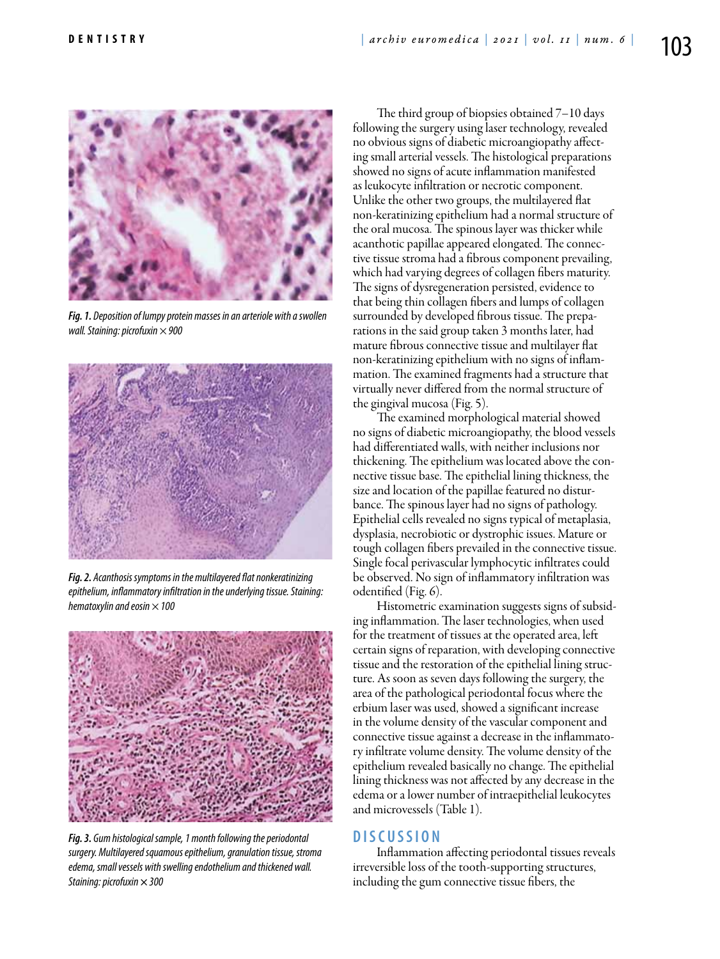

*Fig. 1. Deposition of lumpy protein masses in an arteriole with a swollen wall. Staining: picrofuxin × 900*



*Fig. 2. Acanthosis symptoms in the multilayered flat nonkeratinizing epithelium, inflammatory infiltration in the underlying tissue. Staining: hematoxylin and eosin × 100*



*Fig. 3. Gum histological sample, 1 month following the periodontal surgery. Multilayered squamous epithelium, granulation tissue, stroma edema, small vessels with swelling endothelium and thickened wall. Staining: picrofuxin × 300*

The third group of biopsies obtained 7–10 days following the surgery using laser technology, revealed no obvious signs of diabetic microangiopathy affecting small arterial vessels. The histological preparations showed no signs of acute inflammation manifested as leukocyte infiltration or necrotic component. Unlike the other two groups, the multilayered flat non-keratinizing epithelium had a normal structure of the oral mucosa. The spinous layer was thicker while acanthotic papillae appeared elongated. The connective tissue stroma had a fibrous component prevailing, which had varying degrees of collagen fibers maturity. The signs of dysregeneration persisted, evidence to that being thin collagen fibers and lumps of collagen surrounded by developed fibrous tissue. The preparations in the said group taken 3 months later, had mature fibrous connective tissue and multilayer flat non-keratinizing epithelium with no signs of inflammation. The examined fragments had a structure that virtually never differed from the normal structure of the gingival mucosa (Fig. 5).

The examined morphological material showed no signs of diabetic microangiopathy, the blood vessels had differentiated walls, with neither inclusions nor thickening. The epithelium was located above the connective tissue base. The epithelial lining thickness, the size and location of the papillae featured no disturbance. The spinous layer had no signs of pathology. Epithelial cells revealed no signs typical of metaplasia, dysplasia, necrobiotic or dystrophic issues. Mature or tough collagen fibers prevailed in the connective tissue. Single focal perivascular lymphocytic infiltrates could be observed. No sign of inflammatory infiltration was odentified (Fig. 6).

Histometric examination suggests signs of subsiding inflammation. The laser technologies, when used for the treatment of tissues at the operated area, left certain signs of reparation, with developing connective tissue and the restoration of the epithelial lining structure. As soon as seven days following the surgery, the area of the pathological periodontal focus where the erbium laser was used, showed a significant increase in the volume density of the vascular component and connective tissue against a decrease in the inflammatory infiltrate volume density. The volume density of the epithelium revealed basically no change. The epithelial lining thickness was not affected by any decrease in the edema or a lower number of intraepithelial leukocytes and microvessels (Table 1).

## **D i scu s s i o n**

Inflammation affecting periodontal tissues reveals irreversible loss of the tooth-supporting structures, including the gum connective tissue fibers, the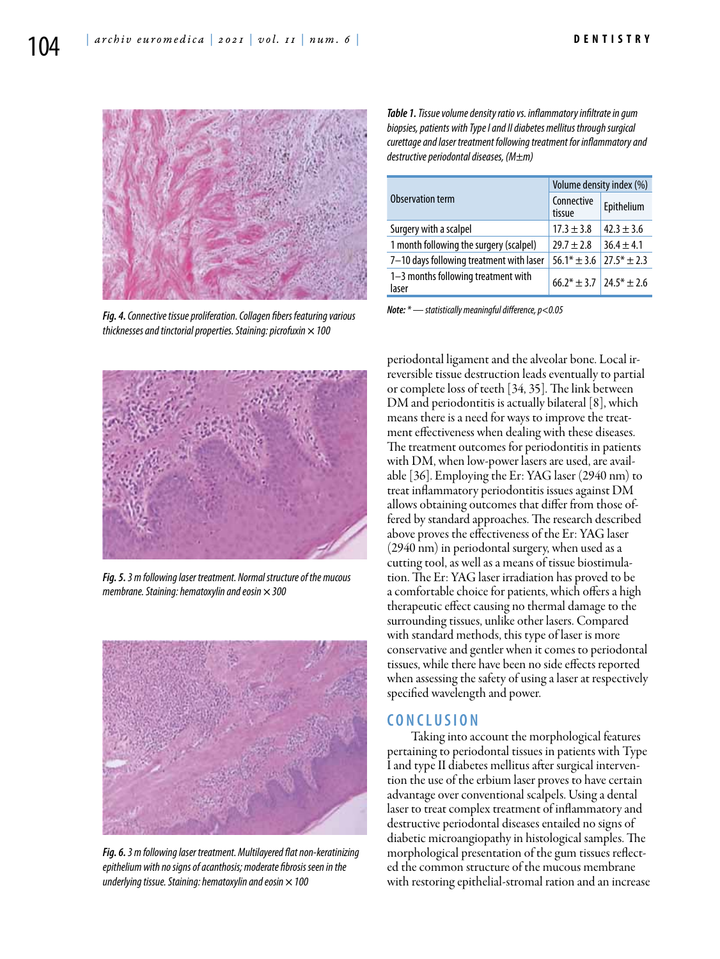

*Fig. 4. Connective tissue proliferation. Collagen fibers featuring various thicknesses and tinctorial properties. Staining: picrofuxin × 100*



*Fig. 5. 3 m following laser treatment. Normal structure of the mucous membrane. Staining: hematoxylin and eosin × 300*



*Fig. 6. 3 m following laser treatment. Multilayered flat non-keratinizing epithelium with no signs of acanthosis; moderate fibrosis seen in the underlying tissue. Staining: hematoxylin and eosin × 100*

*Table 1. Tissue volume density ratio vs. inflammatory infiltrate in gum biopsies, patients with Type I and II diabetes mellitus through surgical curettage and laser treatment following treatment for inflammatory and destructive periodontal diseases, (М±m)*

| Observation term                             | Volume density index (%)               |                |
|----------------------------------------------|----------------------------------------|----------------|
|                                              | Connective<br>tissue                   | Epithelium     |
| Surgery with a scalpel                       | $17.3 + 3.8$                           | $42.3 \pm 3.6$ |
| 1 month following the surgery (scalpel)      | $79.7 + 7.8$                           | $36.4 \pm 4.1$ |
| 7-10 days following treatment with laser     | $56.1* \pm 3.6$                        | $77.5* + 2.3$  |
| 1-3 months following treatment with<br>laser | $66.2^* + 3.7$ 24.5 <sup>*</sup> + 2.6 |                |

*Note: \* — statistically meaningful difference, р<0.05*

periodontal ligament and the alveolar bone. Local irreversible tissue destruction leads eventually to partial or complete loss of teeth [34, 35]. The link between DM and periodontitis is actually bilateral [8], which means there is a need for ways to improve the treatment effectiveness when dealing with these diseases. The treatment outcomes for periodontitis in patients with DM, when low-power lasers are used, are available [36]. Employing the Er: YAG laser (2940 nm) to treat inflammatory periodontitis issues against DM allows obtaining outcomes that differ from those offered by standard approaches. The research described above proves the effectiveness of the Er: YAG laser (2940 nm) in periodontal surgery, when used as a cutting tool, as well as a means of tissue biostimulation. The Er: YAG laser irradiation has proved to be a comfortable choice for patients, which offers a high therapeutic effect causing no thermal damage to the surrounding tissues, unlike other lasers. Compared with standard methods, this type of laser is more conservative and gentler when it comes to periodontal tissues, while there have been no side effects reported when assessing the safety of using a laser at respectively specified wavelength and power.

#### **C o n cl u s i o n**

Taking into account the morphological features pertaining to periodontal tissues in patients with Type I and type II diabetes mellitus after surgical intervention the use of the erbium laser proves to have certain advantage over conventional scalpels. Using a dental laser to treat complex treatment of inflammatory and destructive periodontal diseases entailed no signs of diabetic microangiopathy in histological samples. The morphological presentation of the gum tissues reflected the common structure of the mucous membrane with restoring epithelial-stromal ration and an increase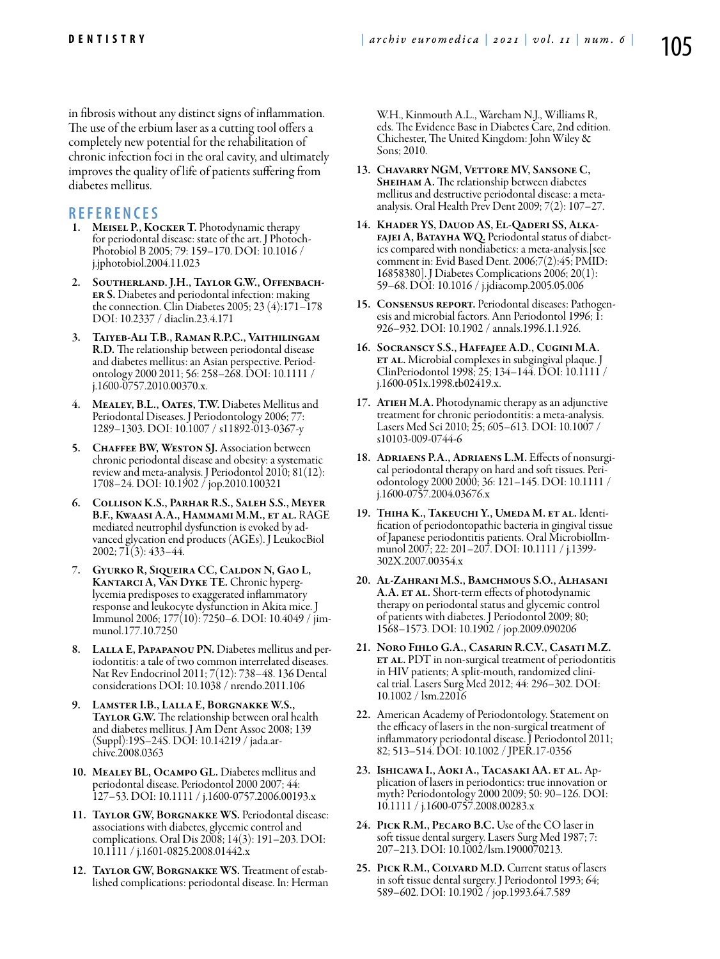in fibrosis without any distinct signs of inflammation. The use of the erbium laser as a cutting tool offers a completely new potential for the rehabilitation of chronic infection foci in the oral cavity, and ultimately improves the quality of life of patients suffering from diabetes mellitus.

## **REFEREN CES**

- 1. MEISEL P., KOCKER T. Photodynamic therapy<br>for periodontal disease: state of the art. J Photoch-Photobiol B 2005; 79: 159–170. DOI: 10.1016 / j.jphotobiol.2004.11.023
- 2. Southerland. J.H., Taylor G.W., Offenbacher S. Diabetes and periodontal infection: making the connection. Clin Diabetes 2005; 23 (4):171–178 DOI: 10.2337 / diaclin.23.4.171
- 3. Taiyeb-Ali T.B., Raman R.P.C., Vaithilingam R.D. The relationship between periodontal disease and diabetes mellitus: an Asian perspective. Periodontology 2000 2011; 56: 258–268. DOI: 10.1111 / j.1600-0757.2010.00370.x.
- MEALEY, B.L., OATES, T.W. Diabetes Mellitus and Periodontal Diseases. J Periodontology 2006; 77: 1289–1303. DOI: 10.1007 / s11892-013-0367-у
- 5. CHAFFEE BW, WESTON SJ. Association between chronic periodontal disease and obesity: a systematic review and meta-analysis. J Periodontol 2010; 81(12): 1708–24. DOI: 10.1902 / jop.2010.100321
- 6. Collison K.S., Parhar R.S., Saleh S.S., Meyer B.F., Kwaasi A.A., Hammami M.M., et al. RAGE mediated neutrophil dysfunction is evoked by advanced glycation end products (AGEs). J LeukocBiol 2002; 71(3): 433–44.
- 7. Gyurko R, Siqueira CC, Caldon N, Gao L, lycemia predisposes to exaggerated inflammatory response and leukocyte dysfunction in Akita mice. J Immunol 2006; 177(10): 7250–6. DOI: 10.4049 / jimmunol.177.10.7250
- 8. LALLA E, PAPAPANOU PN. Diabetes mellitus and periodontitis: a tale of two common interrelated diseases. Nat Rev Endocrinol 2011; 7(12): 738–48. 136 Dental considerations DOI: 10.1038 / nrendo.2011.106
- 9. Lamster I.B., Lalla E, Borgnakke W.S., **TAYLOR G.W.** The relationship between oral health and diabetes mellitus. J Am Dent Assoc 2008; 139 (Suppl):19S–24S. DOI: 10.14219 / jada.archive.2008.0363
- 10. Mealey BL, Ocampo GL. Diabetes mellitus and periodontal disease. Periodontol 2000 2007; 44: 127–53. DOI: 10.1111 / j.1600-0757.2006.00193.x
- 11. TAYLOR GW, BORGNAKKE WS. Periodontal disease: associations with diabetes, glycemic control and complications. Oral Dis 2008; 14(3): 191–203. DOI: 10.1111 / j.1601-0825.2008.01442.x
- 12. Taylor GW, Borgnakke WS. Treatment of estab- lished complications: periodontal disease. In: Herman

W.H., Kinmouth A.L., Wareham N.J., Williams R, eds. The Evidence Base in Diabetes Care, 2nd edition. Chichester, The United Kingdom: John Wiley & Sons; 2010.

- 13. Chavarry NGM, Vettore MV, Sansone C, SHEIHAM A. The relationship between diabetes mellitus and destructive periodontal disease: a metaanalysis. Oral Health Prev Dent 2009; 7(2): 107–27.
- 14. Khader YS, Dauod AS, El-Qaderi SS, Alkafajei A, Batayha WQ. Periodontal status of diabetics compared with nondiabetics: a meta-analysis.[see comment in: Evid Based Dent. 2006;7(2):45; PMID: 16858380]. J Diabetes Complications 2006; 20(1): 59–68. DOI: 10.1016 / j.jdiacomp.2005.05.006
- 15. Consensus report. Periodontal diseases: Pathogenesis and microbial factors. Ann Periodontol 1996; 1: 926–932. DOI: 10.1902 / annals.1996.1.1.926.
- 16. Socranscy S.S., Haffajee A.D., Cugini M.A. ET AL. Microbial complexes in subgingival plaque. J ClinPeriodontol 1998; 25; 134–144. DOI: 10.1111 / j.1600-051x.1998.tb02419.x.
- 17. ATIEH M.A. Photodynamic therapy as an adjunctive treatment for chronic periodontitis: a meta-analysis. Lasers Med Sci 2010; 25; 605–613. DOI: 10.1007 / s10103-009-0744-6
- 18. Adriaens P.A., Adriaens L.M. Effects of nonsurgical periodontal therapy on hard and soft tissues. Periodontology 2000 2000; 36: 121–145. DOI: 10.1111 / j.1600-0757.2004.03676.x
- 19. THIHA K., TAKEUCHI Y., UMEDA M. ET AL. Identification of periodontopathic bacteria in gingival tissue of Japanese periodontitis patients. Oral MicrobiolImmunol 2007; 22: 201–207. DOI: 10.1111 / j.1399- 302X.2007.00354.x
- 20. Al-Zahrani M.S., Bamchmous S.O., Alhasani A.A. ET AL. Short-term effects of photodynamic therapy on periodontal status and glycemic control of patients with diabetes. J Periodontol 2009; 80; 1568–1573. DOI: 10.1902 / jop.2009.090206
- 21. Noro Fihlo G.A., Casarin R.C.V., Casati M.Z. **ET AL.** PDT in non-surgical treatment of periodontitis in HIV patients; A split-mouth, randomized clini- cal trial. Lasers Surg Med 2012; 44: 296–302. DOI: 10.1002 / lsm.22016
- 22. American Academy of Periodontology. Statement on the efficacy of lasers in the non-surgical treatment of inflammatory periodontal disease. J Periodontol 2011; 82; 513–514. DOI: 10.1002 / JPER.17-0356
- 23. Ishicawa I., Aoki A., Tacasaki AA. et al. Application of lasers in periodontics: true innovation or myth? Periodontology 2000 2009; 50: 90–126. DOI: 10.1111 / j.1600-0757.2008.00283.x
- 24. Pick R.M., Pecaro B.C. Use of the CO laser in soft tissue dental surgery. Lasers Surg Med 1987; 7: 207–213. DOI: 10.1002/lsm.1900070213.
- 25. PICK R.M., COLVARD M.D. Current status of lasers in soft tissue dental surgery. J Periodontol 1993; 64; 589–602. DOI: 10.1902 / jop.1993.64.7.589